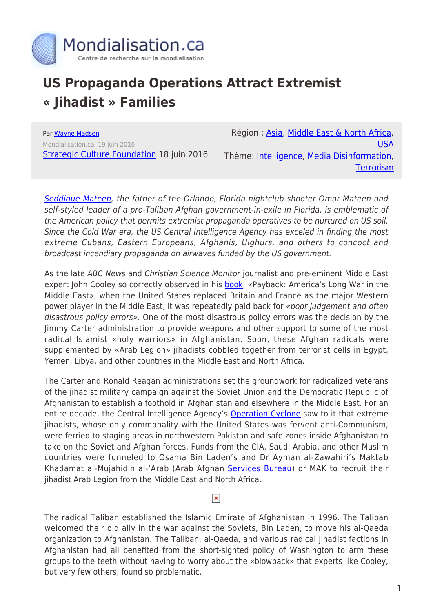

## **US Propaganda Operations Attract Extremist « Jihadist » Families**

Par [Wayne Madsen](https://www.mondialisation.ca/author/wayne-madsen) Mondialisation.ca, 19 juin 2016 **[Strategic Culture Foundation](http://www.strategic-culture.org/news/2016/06/18/us-propaganda-operations-attract-extremist-families.html) 18 juin 2016** 

Région : [Asia,](https://www.mondialisation.ca/region/asia) [Middle East & North Africa](https://www.mondialisation.ca/region/middle-east), [USA](https://www.mondialisation.ca/region/usa) Thème: [Intelligence,](https://www.mondialisation.ca/theme/intelligence) [Media Disinformation](https://www.mondialisation.ca/theme/media-disinformation), **[Terrorism](https://www.mondialisation.ca/theme/9-11-war-on-terrorism)** 

[Seddique Mateen](http://www.businessinsider.com/orlando-shooter-father-isis-seddique-mateen-omar-2016-6), the father of the Orlando, Florida nightclub shooter Omar Mateen and self-styled leader of a pro-Taliban Afghan government-in-exile in Florida, is emblematic of the American policy that permits extremist propaganda operatives to be nurtured on US soil. Since the Cold War era, the US Central Intelligence Agency has exceled in finding the most extreme Cubans, Eastern Europeans, Afghanis, Uighurs, and others to concoct and broadcast incendiary propaganda on airwaves funded by the US government.

As the late ABC News and Christian Science Monitor journalist and pre-eminent Middle East expert John Cooley so correctly observed in his **[book](https://books.google.ru/books/about/Payback.html?id=1GdtAAAAMAAJ&redir_esc=y)**, «Payback: America's Long War in the Middle East», when the United States replaced Britain and France as the major Western power player in the Middle East, it was repeatedly paid back for «poor judgement and often disastrous policy errors». One of the most disastrous policy errors was the decision by the Jimmy Carter administration to provide weapons and other support to some of the most radical Islamist «holy warriors» in Afghanistan. Soon, these Afghan radicals were supplemented by «Arab Legion» jihadists cobbled together from terrorist cells in Egypt, Yemen, Libya, and other countries in the Middle East and North Africa.

The Carter and Ronald Reagan administrations set the groundwork for radicalized veterans of the jihadist military campaign against the Soviet Union and the Democratic Republic of Afghanistan to establish a foothold in Afghanistan and elsewhere in the Middle East. For an entire decade, the Central Intelligence Agency's [Operation Cyclone](https://en.wikipedia.org/wiki/Operation_Cyclone) saw to it that extreme jihadists, whose only commonality with the United States was fervent anti-Communism, were ferried to staging areas in northwestern Pakistan and safe zones inside Afghanistan to take on the Soviet and Afghan forces. Funds from the CIA, Saudi Arabia, and other Muslim countries were funneled to Osama Bin Laden's and Dr Ayman al-Zawahiri's Maktab Khadamat al-Mujahidin al-'Arab (Arab Afghan [Services Bureau](https://en.wikipedia.org/wiki/Maktab_al-Khidamat)) or MAK to recruit their jihadist Arab Legion from the Middle East and North Africa.

## $\pmb{\times}$

The radical Taliban established the Islamic Emirate of Afghanistan in 1996. The Taliban welcomed their old ally in the war against the Soviets, Bin Laden, to move his al-Qaeda organization to Afghanistan. The Taliban, al-Qaeda, and various radical jihadist factions in Afghanistan had all benefited from the short-sighted policy of Washington to arm these groups to the teeth without having to worry about the «blowback» that experts like Cooley, but very few others, found so problematic.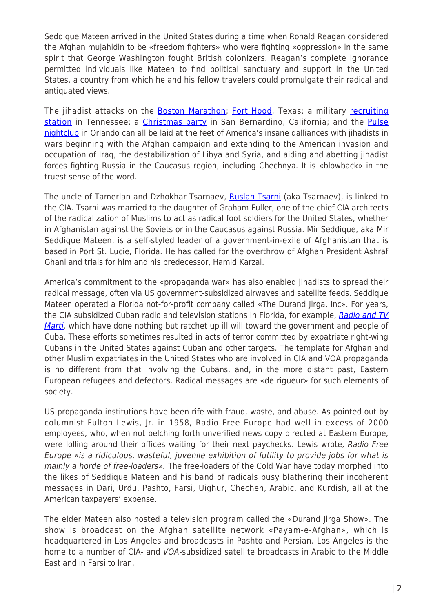Seddique Mateen arrived in the United States during a time when Ronald Reagan considered the Afghan mujahidin to be «freedom fighters» who were fighting «oppression» in the same spirit that George Washington fought British colonizers. Reagan's complete ignorance permitted individuals like Mateen to find political sanctuary and support in the United States, a country from which he and his fellow travelers could promulgate their radical and antiquated views.

The jihadist attacks on the **[Boston Marathon;](https://en.wikipedia.org/wiki/Boston_Marathon_bombing) [Fort Hood](https://en.wikipedia.org/wiki/2009_Fort_Hood_shooting)**, Texas; a military [recruiting](https://en.wikipedia.org/wiki/2015_Chattanooga_shootings) [station](https://en.wikipedia.org/wiki/2015_Chattanooga_shootings) in Tennessee; a [Christmas party](https://en.wikipedia.org/wiki/2015_San_Bernardino_attack) in San Bernardino, California; and the [Pulse](https://en.wikipedia.org/wiki/2016_Orlando_nightclub_shooting) [nightclub](https://en.wikipedia.org/wiki/2016_Orlando_nightclub_shooting) in Orlando can all be laid at the feet of America's insane dalliances with jihadists in wars beginning with the Afghan campaign and extending to the American invasion and occupation of Iraq, the destabilization of Libya and Syria, and aiding and abetting jihadist forces fighting Russia in the Caucasus region, including Chechnya. It is «blowback» in the truest sense of the word.

The uncle of Tamerlan and Dzhokhar Tsarnaev, [Ruslan Tsarni](https://www.wsws.org/en/articles/2013/06/29/bos2-j29.html) (aka Tsarnaev), is linked to the CIA. Tsarni was married to the daughter of Graham Fuller, one of the chief CIA architects of the radicalization of Muslims to act as radical foot soldiers for the United States, whether in Afghanistan against the Soviets or in the Caucasus against Russia. Mir Seddique, aka Mir Seddique Mateen, is a self-styled leader of a government-in-exile of Afghanistan that is based in Port St. Lucie, Florida. He has called for the overthrow of Afghan President Ashraf Ghani and trials for him and his predecessor, Hamid Karzai.

America's commitment to the «propaganda war» has also enabled jihadists to spread their radical message, often via US government-subsidized airwaves and satellite feeds. Seddique Mateen operated a Florida not-for-profit company called «The Durand Jirga, Inc». For years, the CIA subsidized Cuban radio and television stations in Florida, for example, [Radio and TV](https://en.wikipedia.org/wiki/Radio_y_Televisi%C3%B3n_Mart%C3%AD) [Marti,](https://en.wikipedia.org/wiki/Radio_y_Televisi%C3%B3n_Mart%C3%AD) which have done nothing but ratchet up ill will toward the government and people of Cuba. These efforts sometimes resulted in acts of terror committed by expatriate right-wing Cubans in the United States against Cuban and other targets. The template for Afghan and other Muslim expatriates in the United States who are involved in CIA and VOA propaganda is no different from that involving the Cubans, and, in the more distant past, Eastern European refugees and defectors. Radical messages are «de rigueur» for such elements of society.

US propaganda institutions have been rife with fraud, waste, and abuse. As pointed out by columnist Fulton Lewis, Jr. in 1958, Radio Free Europe had well in excess of 2000 employees, who, when not belching forth unverified news copy directed at Eastern Europe, were lolling around their offices waiting for their next paychecks. Lewis wrote, Radio Free Europe «is a ridiculous, wasteful, juvenile exhibition of futility to provide jobs for what is mainly a horde of free-loaders». The free-loaders of the Cold War have today morphed into the likes of Seddique Mateen and his band of radicals busy blathering their incoherent messages in Dari, Urdu, Pashto, Farsi, Uighur, Chechen, Arabic, and Kurdish, all at the American taxpayers' expense.

The elder Mateen also hosted a television program called the «Durand Jirga Show». The show is broadcast on the Afghan satellite network «Payam-e-Afghan», which is headquartered in Los Angeles and broadcasts in Pashto and Persian. Los Angeles is the home to a number of CIA- and VOA-subsidized satellite broadcasts in Arabic to the Middle East and in Farsi to Iran.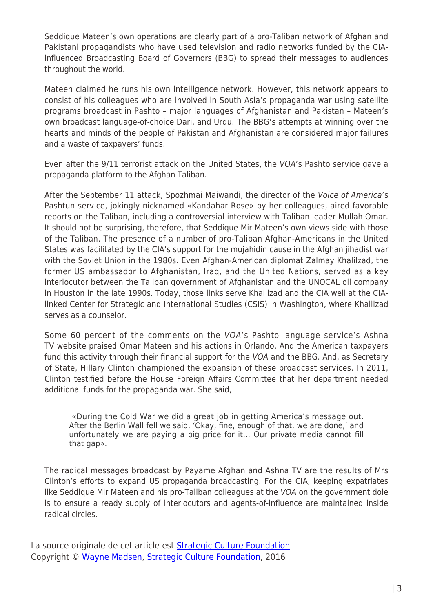Seddique Mateen's own operations are clearly part of a pro-Taliban network of Afghan and Pakistani propagandists who have used television and radio networks funded by the CIAinfluenced Broadcasting Board of Governors (BBG) to spread their messages to audiences throughout the world.

Mateen claimed he runs his own intelligence network. However, this network appears to consist of his colleagues who are involved in South Asia's propaganda war using satellite programs broadcast in Pashto – major languages of Afghanistan and Pakistan – Mateen's own broadcast language-of-choice Dari, and Urdu. The BBG's attempts at winning over the hearts and minds of the people of Pakistan and Afghanistan are considered major failures and a waste of taxpayers' funds.

Even after the 9/11 terrorist attack on the United States, the VOA's Pashto service gave a propaganda platform to the Afghan Taliban.

After the September 11 attack, Spozhmai Maiwandi, the director of the Voice of America's Pashtun service, jokingly nicknamed «Kandahar Rose» by her colleagues, aired favorable reports on the Taliban, including a controversial interview with Taliban leader Mullah Omar. It should not be surprising, therefore, that Seddique Mir Mateen's own views side with those of the Taliban. The presence of a number of pro-Taliban Afghan-Americans in the United States was facilitated by the CIA's support for the mujahidin cause in the Afghan jihadist war with the Soviet Union in the 1980s. Even Afghan-American diplomat Zalmay Khalilzad, the former US ambassador to Afghanistan, Iraq, and the United Nations, served as a key interlocutor between the Taliban government of Afghanistan and the UNOCAL oil company in Houston in the late 1990s. Today, those links serve Khalilzad and the CIA well at the CIAlinked Center for Strategic and International Studies (CSIS) in Washington, where Khalilzad serves as a counselor.

Some 60 percent of the comments on the VOA's Pashto language service's Ashna TV website praised Omar Mateen and his actions in Orlando. And the American taxpayers fund this activity through their financial support for the VOA and the BBG. And, as Secretary of State, Hillary Clinton championed the expansion of these broadcast services. In 2011, Clinton testified before the House Foreign Affairs Committee that her department needed additional funds for the propaganda war. She said,

«During the Cold War we did a great job in getting America's message out. After the Berlin Wall fell we said, 'Okay, fine, enough of that, we are done,' and unfortunately we are paying a big price for it… Our private media cannot fill that gap».

The radical messages broadcast by Payame Afghan and Ashna TV are the results of Mrs Clinton's efforts to expand US propaganda broadcasting. For the CIA, keeping expatriates like Seddique Mir Mateen and his pro-Taliban colleagues at the VOA on the government dole is to ensure a ready supply of interlocutors and agents-of-influence are maintained inside radical circles.

La source originale de cet article est [Strategic Culture Foundation](http://www.strategic-culture.org/news/2016/06/18/us-propaganda-operations-attract-extremist-families.html) Copyright © [Wayne Madsen](https://www.mondialisation.ca/author/wayne-madsen), [Strategic Culture Foundation](http://www.strategic-culture.org/news/2016/06/18/us-propaganda-operations-attract-extremist-families.html), 2016